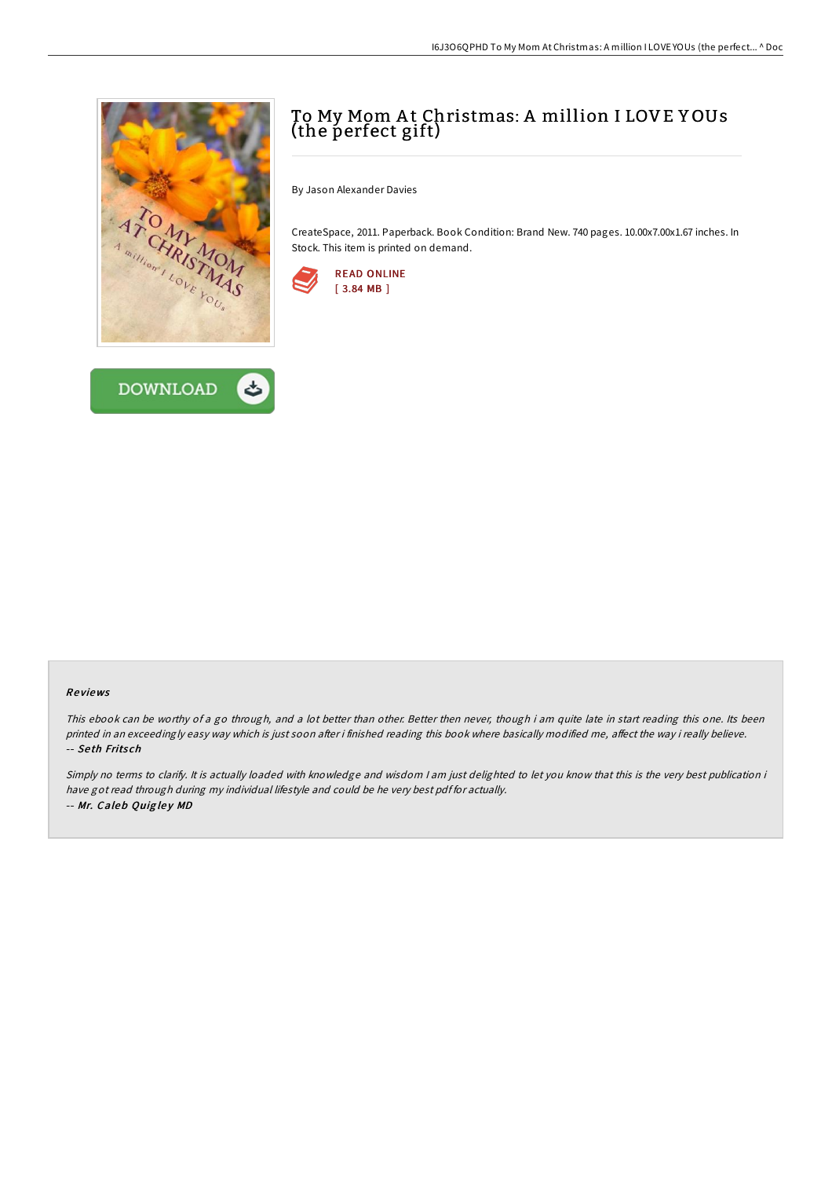



# To My Mom A t Christmas: A million I LOVE Y OUs (the perfect gift)

By Jason Alexander Davies

CreateSpace, 2011. Paperback. Book Condition: Brand New. 740 pages. 10.00x7.00x1.67 inches. In Stock. This item is printed on demand.



#### Re views

This ebook can be worthy of <sup>a</sup> go through, and <sup>a</sup> lot better than other. Better then never, though i am quite late in start reading this one. Its been printed in an exceedingly easy way which is just soon after i finished reading this book where basically modified me, affect the way i really believe. -- Se th Frits ch

Simply no terms to clarify. It is actually loaded with knowledge and wisdom <sup>I</sup> am just delighted to let you know that this is the very best publication i have got read through during my individual lifestyle and could be he very best pdf for actually. -- Mr. Caleb Quigley MD